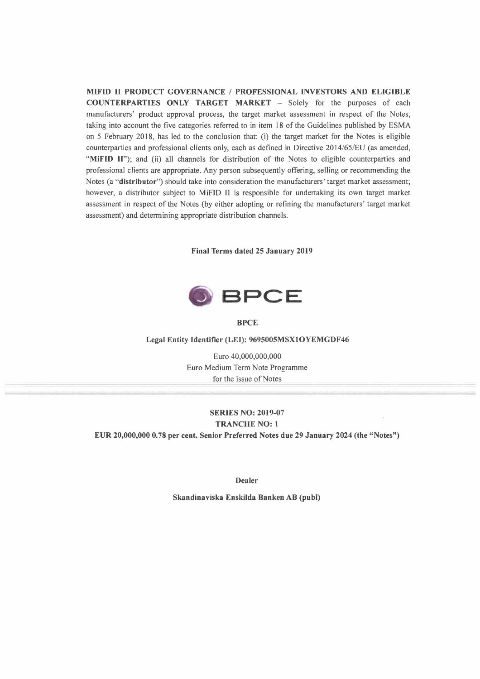**MIFID Il PRODUCT GOVERNANCE / PROFESSIONAL INVESTORS AND ELIGIBLE COUNTERPARTIES ONLY TARGET MARKET -** Solely for the purposes of each manufacturers' product approval process, the target market assessment in respect of the Notes, taking into account the five categories referred to in item 18 of the Guidelines published by ESMA on 5 February 2018, has led to the conclusion that: (i) the target market for the Notes is eligible counterparties and professional clients only, each as defined in Directive 2014/65/EU (as amended, **"MiFID 11");** and (ii) all channels for distribution of the Notes to eligible counterparties and professional clients are appropriate. Any person subsequently offering, selling or recommending the Notes (a **"distributor")** should take into consideration the manufacturers' target market assessment; however, a distributor subject to MiFID II is responsible for undertaking its own target market assessment in respect of the Notes (by either adopting or refining the manufacturers' target market assessment) and determining appropriate distribution channels.

**Final Terms dated 25 January 2019** 



**BPCE** 

#### **Legal Entity Identifier (LEI): 9695005MSX10YEMGDF46**

Euro 40,000,000,000 Euro Medium Term Note Programme for the issue of Notes

# **SERIES NO: 2019-07 TRANCHE NO: 1 EUR 20,000,000 0.78 per cent. Senior Preferred Notes due 29 January 2024 (the "Notes")**

**Dealer** 

**Skandinaviska Enskilda Banken AB (publ)**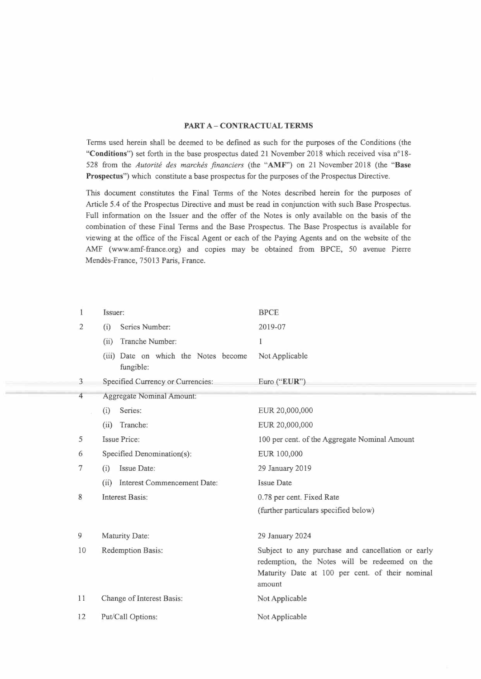#### **PART A-CONTRACTUAL TERMS**

Terms used herein shall be deemed to be defined as such for the purposes of the Conditions (the **"Conditions")** set forth in the base prospectus dated 21 November 2018 which received visa n°18- 528 from the *Autorité des marchés financiers* (the **"AMF")** on 21 November 2018 (the **"Base Prospectus")** which constitute a base prospectus for the purposes of the Prospectus Directive.

This document constitutes the Final Terms of the Notes described herein for the purposes of Article 5.4 of the Prospectus Directive and must be read in conjunction with such Base Prospectus. Full information on the Issuer and the offer of the Notes is only available on the basis of the combination of these Final Terms and the Base Prospectus. The Base Prospectus is available for viewing at the office of the Fiscal Agent or each of the Paying Agents and on the website of the AMF (www.amf-france.org) and copies may be obtained from BPCE, 50 avenue Pierre Mendès-France, 75013 Paris, France.

| 1              | Issuer:                                           | <b>BPCE</b>                                                                                                                                                     |
|----------------|---------------------------------------------------|-----------------------------------------------------------------------------------------------------------------------------------------------------------------|
| $\overline{2}$ | Series Number:<br>(i)                             | 2019-07                                                                                                                                                         |
|                | Tranche Number:<br>(ii)                           | 1                                                                                                                                                               |
|                | (iii) Date on which the Notes become<br>fungible: | Not Applicable                                                                                                                                                  |
| $\mathfrak{Z}$ | Specified Currency or Currencies:                 | Euro ("EUR")                                                                                                                                                    |
| 4              | <b>Aggregate Nominal Amount:</b>                  |                                                                                                                                                                 |
|                | Series:<br>(i)                                    | EUR 20,000,000                                                                                                                                                  |
|                | (ii)<br>Tranche:                                  | EUR 20,000,000                                                                                                                                                  |
| 5              | <b>Issue Price:</b>                               | 100 per cent. of the Aggregate Nominal Amount                                                                                                                   |
| 6              | Specified Denomination(s):                        | EUR 100,000                                                                                                                                                     |
| 7              | Issue Date:<br>(i)                                | 29 January 2019                                                                                                                                                 |
|                | Interest Commencement Date:<br>(ii)               | <b>Issue Date</b>                                                                                                                                               |
| 8              | <b>Interest Basis:</b>                            | 0.78 per cent. Fixed Rate                                                                                                                                       |
|                |                                                   | (further particulars specified below)                                                                                                                           |
| 9              | Maturity Date:                                    | 29 January 2024                                                                                                                                                 |
| 10             | Redemption Basis:                                 | Subject to any purchase and cancellation or early<br>redemption, the Notes will be redeemed on the<br>Maturity Date at 100 per cent. of their nominal<br>amount |
| 11             | Change of Interest Basis:                         | Not Applicable                                                                                                                                                  |
| 12             | Put/Call Options:                                 | Not Applicable                                                                                                                                                  |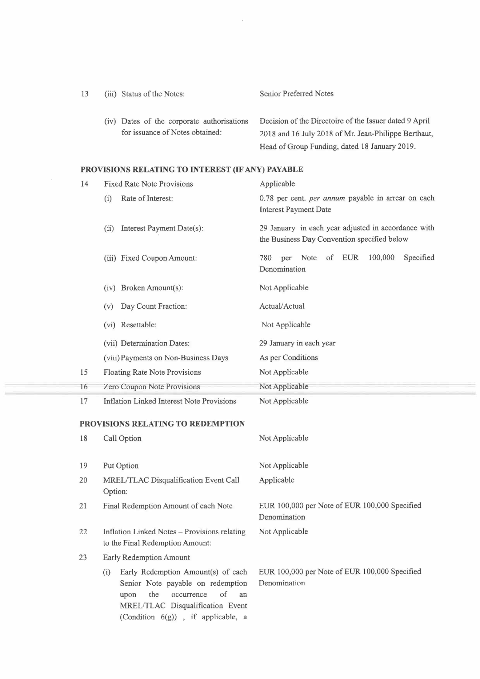| 13 | (iii) Status of the Notes:                                                    | Senior Preferred Notes                                                                                                                                          |
|----|-------------------------------------------------------------------------------|-----------------------------------------------------------------------------------------------------------------------------------------------------------------|
|    | (iv) Dates of the corporate authorisations<br>for issuance of Notes obtained: | Decision of the Directoire of the Issuer dated 9 April<br>2018 and 16 July 2018 of Mr. Jean-Philippe Berthaut,<br>Head of Group Funding, dated 18 January 2019. |

# **PROVISIONS RELATING TO INTEREST (IF ANY) PAYABLE**

| 14 | <b>Fixed Rate Note Provisions</b>                                                                                                                                                                 | Applicable                                                                                         |
|----|---------------------------------------------------------------------------------------------------------------------------------------------------------------------------------------------------|----------------------------------------------------------------------------------------------------|
|    | Rate of Interest:<br>(i)                                                                                                                                                                          | 0.78 per cent. per annum payable in arrear on each<br><b>Interest Payment Date</b>                 |
|    | Interest Payment Date(s):<br>(ii)                                                                                                                                                                 | 29 January in each year adjusted in accordance with<br>the Business Day Convention specified below |
|    | (iii) Fixed Coupon Amount:                                                                                                                                                                        | of EUR<br>100,000<br>Note<br>Specified<br>780<br>per<br>Denomination                               |
|    | (iv) Broken Amount(s):                                                                                                                                                                            | Not Applicable                                                                                     |
|    | Day Count Fraction:<br>(v)                                                                                                                                                                        | Actual/Actual                                                                                      |
|    | (vi) Resettable:                                                                                                                                                                                  | Not Applicable                                                                                     |
|    | (vii) Determination Dates:                                                                                                                                                                        | 29 January in each year                                                                            |
|    | (viii) Payments on Non-Business Days                                                                                                                                                              | As per Conditions                                                                                  |
| 15 | Floating Rate Note Provisions                                                                                                                                                                     | Not Applicable                                                                                     |
| 16 | Zero Coupon Note Provisions                                                                                                                                                                       | Not Applicable                                                                                     |
| 17 | <b>Inflation Linked Interest Note Provisions</b>                                                                                                                                                  | Not Applicable                                                                                     |
|    | PROVISIONS RELATING TO REDEMPTION                                                                                                                                                                 |                                                                                                    |
| 18 | Call Option                                                                                                                                                                                       | Not Applicable                                                                                     |
| 19 | Put Option                                                                                                                                                                                        | Not Applicable                                                                                     |
| 20 | MREL/TLAC Disqualification Event Call<br>Option:                                                                                                                                                  | Applicable                                                                                         |
| 21 | Final Redemption Amount of each Note                                                                                                                                                              | EUR 100,000 per Note of EUR 100,000 Specified<br>Denomination                                      |
| 22 | Inflation Linked Notes - Provisions relating<br>to the Final Redemption Amount:                                                                                                                   | Not Applicable                                                                                     |
| 23 | Early Redemption Amount                                                                                                                                                                           |                                                                                                    |
|    | Early Redemption Amount(s) of each<br>(i)<br>Senior Note payable on redemption<br>of<br>the<br>occurrence<br>an<br>upon<br>MREL/TLAC Disqualification Event<br>(Condition 6(g)), if applicable, a | EUR 100,000 per Note of EUR 100,000 Specified<br>Denomination                                      |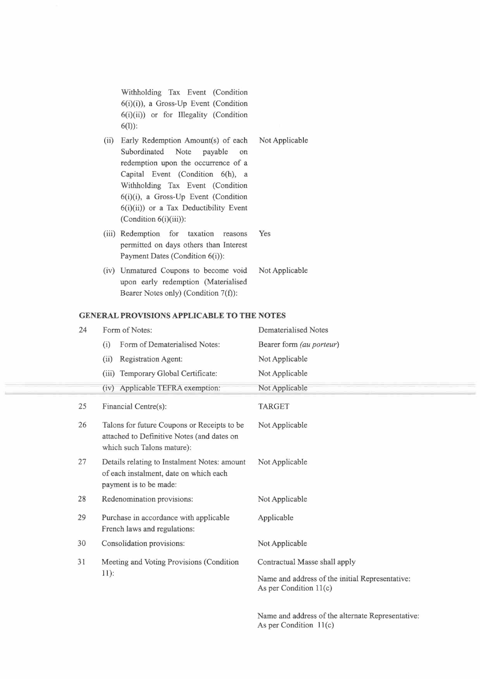Withholding Tax Event (Condition 6(i)(i)), a Gross-Up Event (Condition 6(i)(ii)) or for Illegality (Condition 6(1)):

- (ii) Early Redemption Amount(s) of each Not Applicable Subordinated Note payable on redemption upon the occurrence of a Capital Event (Condition 6(h), a Withholding Tax Event (Condition 6(i)(i), a Gross-Up Event (Condition  $6(i)(ii)$  or a Tax Deductibility Event (Condition 6(i)(iii)):
- (iii) Redemption for taxation reasons Yes permitted on days others than Interest Payment Dates (Condition 6(i)):
- (iv) Unmatured Coupons to become void NotApplicable upon early redemption (Materialised Bearer Notes only) (Condition 7(f)):

#### **GENERAL PROVISIONS APPLICABLE TO THE NOTES**

| 24 | Form of Notes:                                                                                                          | <b>Dematerialised Notes</b>                                                 |
|----|-------------------------------------------------------------------------------------------------------------------------|-----------------------------------------------------------------------------|
|    | Form of Dematerialised Notes:<br>(i)                                                                                    | Bearer form (au porteur)                                                    |
|    | (ii)<br>Registration Agent:                                                                                             | Not Applicable                                                              |
|    | Temporary Global Certificate:<br>(iii)                                                                                  | Not Applicable                                                              |
|    | Applicable TEFRA exemption:<br>(iv)                                                                                     | Not Applicable                                                              |
| 25 | Financial Centre(s):                                                                                                    | <b>TARGET</b>                                                               |
| 26 | Talons for future Coupons or Receipts to be<br>attached to Definitive Notes (and dates on<br>which such Talons mature): | Not Applicable                                                              |
| 27 | Details relating to Instalment Notes: amount<br>of each instalment, date on which each<br>payment is to be made:        | Not Applicable                                                              |
| 28 | Redenomination provisions:                                                                                              | Not Applicable                                                              |
| 29 | Purchase in accordance with applicable<br>French laws and regulations:                                                  | Applicable                                                                  |
| 30 | Consolidation provisions:                                                                                               | Not Applicable                                                              |
| 31 | Meeting and Voting Provisions (Condition<br>$11$ :                                                                      | Contractual Masse shall apply                                               |
|    |                                                                                                                         | Name and address of the initial Representative:<br>As per Condition $11(c)$ |
|    |                                                                                                                         | Name and address of the alternate Representative:                           |

As per Condition  $11(c)$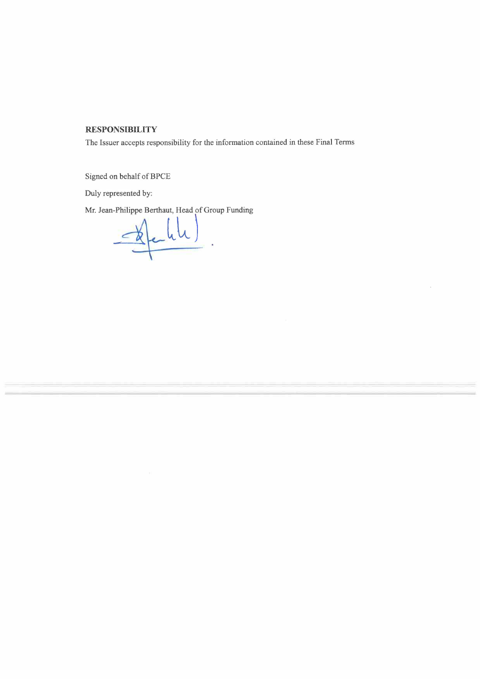## **RESPONSIBILITY**

The Issuer accepts responsibility for the information contained in these Final Terms

Signed on behalf of BPCE

Duly represented by:

Mr. Jean-Philippe Berthaut, Head of Group Funding

 $\frac{d}{dx}$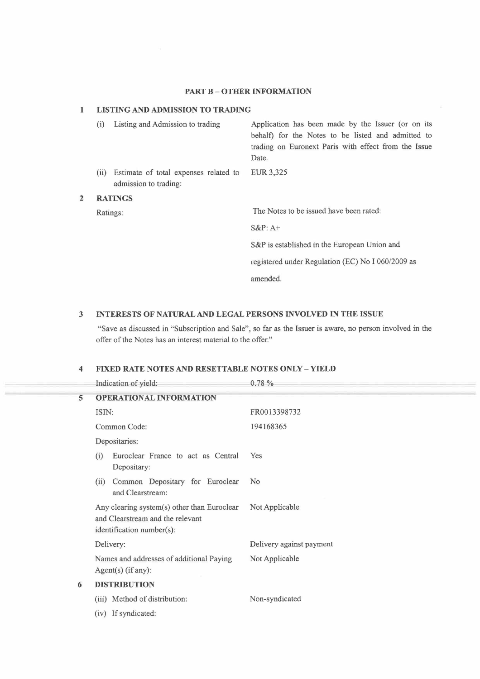### **PART B - OTHER INFORMATION**

## **1 LISTING AND ADMISSION TO TRADING**

|              | (i)      | Listing and Admission to trading                               | Application has been made by the Issuer (or on its<br>behalf) for the Notes to be listed and admitted to<br>trading on Euronext Paris with effect from the Issue<br>Date. |
|--------------|----------|----------------------------------------------------------------|---------------------------------------------------------------------------------------------------------------------------------------------------------------------------|
|              | (ii)     | Estimate of total expenses related to<br>admission to trading: | EUR 3,325                                                                                                                                                                 |
| $\mathbf{2}$ |          | <b>RATINGS</b>                                                 |                                                                                                                                                                           |
|              | Ratings: |                                                                | The Notes to be issued have been rated:                                                                                                                                   |
|              |          |                                                                | $S\&P: A+$                                                                                                                                                                |
|              |          |                                                                | S&P is established in the European Union and                                                                                                                              |
|              |          |                                                                | registered under Regulation (EC) No I 060/2009 as                                                                                                                         |
|              |          |                                                                | amended.                                                                                                                                                                  |

## **3 INTERESTS OF NATURAL AND LEGAL PERSONS INVOLVED IN THE ISSUE**

"Save as discussed in "Subscription and Sale", so far as the Issuer is aware, no person involved in the offer of the Notes has an interest material to the offer."

## **4 FIXED RATE NOTES AND RESETTABLE NOTES ONLY - YIELD**

|   | Indication of yield:                                                                                         | 0.78%                    |
|---|--------------------------------------------------------------------------------------------------------------|--------------------------|
| 5 | <b>OPERATIONAL INFORMATION</b>                                                                               |                          |
|   | ISIN:                                                                                                        | FR0013398732             |
|   | Common Code:                                                                                                 | 194168365                |
|   | Depositaries:                                                                                                |                          |
|   | Euroclear France to act as Central<br>(i)<br>Depositary:                                                     | Yes                      |
|   | Common Depositary for Euroclear<br>(ii)<br>and Clearstream:                                                  | N <sub>o</sub>           |
|   | Any clearing system(s) other than Euroclear<br>and Clearstream and the relevant<br>identification number(s): | Not Applicable           |
|   | Delivery:                                                                                                    | Delivery against payment |
|   | Names and addresses of additional Paying<br>$Agent(s)$ (if any):                                             | Not Applicable           |
| 6 | <b>DISTRIBUTION</b>                                                                                          |                          |
|   | (iii) Method of distribution:                                                                                | Non-syndicated           |
|   | (iv) If syndicated:                                                                                          |                          |